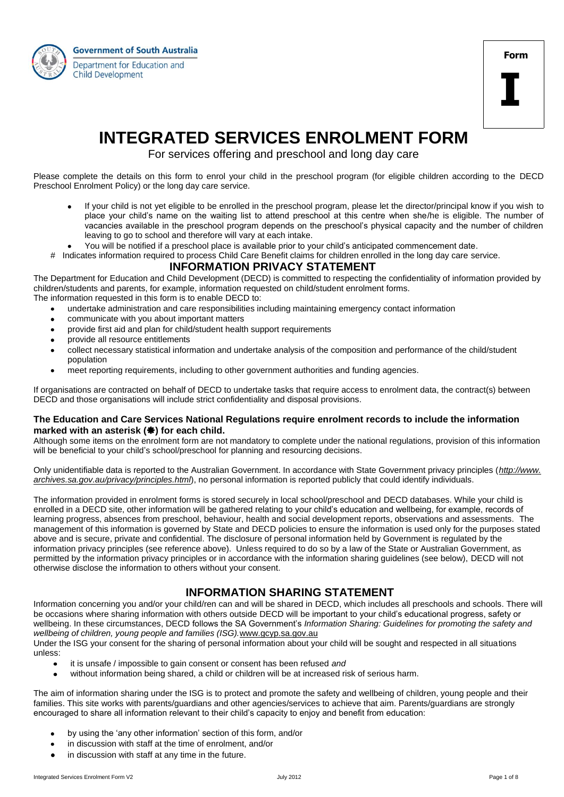



# **INTEGRATED SERVICES ENROLMENT FORM**

For services offering and preschool and long day care

Please complete the details on this form to enrol your child in the preschool program (for eligible children according to the DECD Preschool Enrolment Policy) or the long day care service.

- If your child is not yet eligible to be enrolled in the preschool program, please let the director/principal know if you wish to place your child's name on the waiting list to attend preschool at this centre when she/he is eligible. The number of vacancies available in the preschool program depends on the preschool's physical capacity and the number of children leaving to go to school and therefore will vary at each intake.
- You will be notified if a preschool place is available prior to your child's anticipated commencement date.
- # Indicates information required to process Child Care Benefit claims for children enrolled in the long day care service.

## **INFORMATION PRIVACY STATEMENT**

The Department for Education and Child Development (DECD) is committed to respecting the confidentiality of information provided by children/students and parents, for example, information requested on child/student enrolment forms.

- The information requested in this form is to enable DECD to:
	- undertake administration and care responsibilities including maintaining emergency contact information
	- communicate with you about important matters
	- provide first aid and plan for child/student health support requirements  $\bullet$
	- provide all resource entitlements
	- collect necessary statistical information and undertake analysis of the composition and performance of the child/student population
	- meet reporting requirements, including to other government authorities and funding agencies.  $\bullet$

If organisations are contracted on behalf of DECD to undertake tasks that require access to enrolment data, the contract(s) between DECD and those organisations will include strict confidentiality and disposal provisions.

#### **The Education and Care Services National Regulations require enrolment records to include the information**  marked with an asterisk (\*) for each child.

Although some items on the enrolment form are not mandatory to complete under the national regulations, provision of this information will be beneficial to your child's school/preschool for planning and resourcing decisions.

Only unidentifiable data is reported to the Australian Government. In accordance with State Government privacy principles (*http://www. archives.sa.gov.au/privacy/principles.html*), no personal information is reported publicly that could identify individuals.

The information provided in enrolment forms is stored securely in local school/preschool and DECD databases. While your child is enrolled in a DECD site, other information will be gathered relating to your child's education and wellbeing, for example, records of learning progress, absences from preschool, behaviour, health and social development reports, observations and assessments. The management of this information is governed by State and DECD policies to ensure the information is used only for the purposes stated above and is secure, private and confidential. The disclosure of personal information held by Government is regulated by the information privacy principles (see reference above). Unless required to do so by a law of the State or Australian Government, as permitted by the information privacy principles or in accordance with the information sharing guidelines (see below), DECD will not otherwise disclose the information to others without your consent.

# **INFORMATION SHARING STATEMENT**

Information concerning you and/or your child/ren can and will be shared in DECD, which includes all preschools and schools. There will be occasions where sharing information with others outside DECD will be important to your child's educational progress, safety or wellbeing. In these circumstances, DECD follows the SA Government's *Information Sharing: Guidelines for promoting the safety and wellbeing of children, young people and families (ISG).*[www.gcyp.sa.gov.au](http://www.gcyp.sa.gov.au/)

Under the ISG your consent for the sharing of personal information about your child will be sought and respected in all situations unless:

- it is unsafe / impossible to gain consent or consent has been refused *and*
- without information being shared, a child or children will be at increased risk of serious harm.

The aim of information sharing under the ISG is to protect and promote the safety and wellbeing of children, young people and their families. This site works with parents/guardians and other agencies/services to achieve that aim. Parents/guardians are strongly encouraged to share all information relevant to their child's capacity to enjoy and benefit from education:

- by using the 'any other information' section of this form, and/or
- in discussion with staff at the time of enrolment, and/or
- in discussion with staff at any time in the future.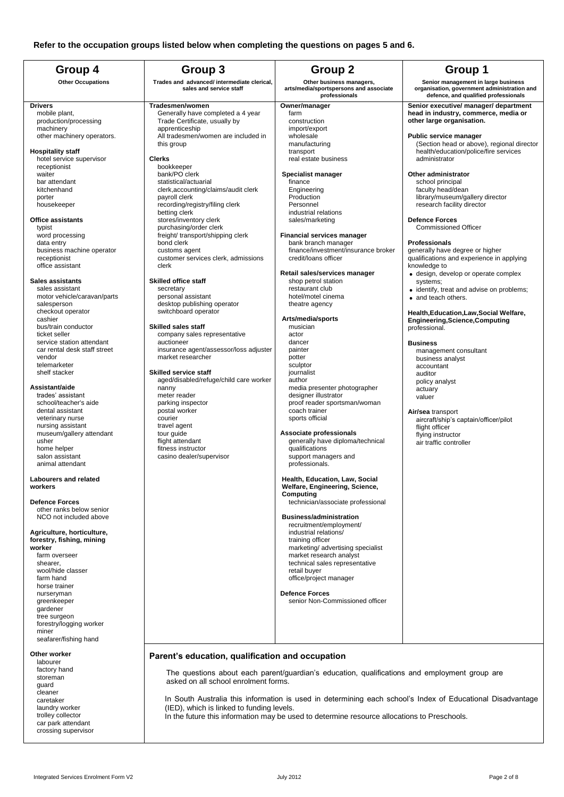| Group 4                                                                                                                                                                                                                                                                                                                                                                                                    | Group 3                                                                                                                                                                                                                                                                                                                                                                                                                                                                                                                                                   | <b>Group 2</b>                                                                                                                                                                                                                                                                                                                                                                                                                     | Group 1                                                                                                                                                                                                                                                                                                                                                                                                                                                                                                                                                                                                           |
|------------------------------------------------------------------------------------------------------------------------------------------------------------------------------------------------------------------------------------------------------------------------------------------------------------------------------------------------------------------------------------------------------------|-----------------------------------------------------------------------------------------------------------------------------------------------------------------------------------------------------------------------------------------------------------------------------------------------------------------------------------------------------------------------------------------------------------------------------------------------------------------------------------------------------------------------------------------------------------|------------------------------------------------------------------------------------------------------------------------------------------------------------------------------------------------------------------------------------------------------------------------------------------------------------------------------------------------------------------------------------------------------------------------------------|-------------------------------------------------------------------------------------------------------------------------------------------------------------------------------------------------------------------------------------------------------------------------------------------------------------------------------------------------------------------------------------------------------------------------------------------------------------------------------------------------------------------------------------------------------------------------------------------------------------------|
| <b>Other Occupations</b>                                                                                                                                                                                                                                                                                                                                                                                   | Trades and advanced/ intermediate clerical,<br>sales and service staff                                                                                                                                                                                                                                                                                                                                                                                                                                                                                    | Other business managers,<br>arts/media/sportspersons and associate<br>professionals                                                                                                                                                                                                                                                                                                                                                | Senior management in large business<br>organisation, government administration and<br>defence, and qualified professionals                                                                                                                                                                                                                                                                                                                                                                                                                                                                                        |
| <b>Drivers</b><br>mobile plant,<br>production/processing<br>machinery<br>other machinery operators.<br><b>Hospitality staff</b><br>hotel service supervisor<br>receptionist<br>waiter<br>bar attendant<br>kitchenhand<br>porter<br>housekeeper<br><b>Office assistants</b><br>typist<br>word processing<br>data entry<br>business machine operator<br>receptionist<br>office assistant<br>Sales assistants | Tradesmen/women<br>Generally have completed a 4 year<br>Trade Certificate, usually by<br>apprenticeship<br>All tradesmen/women are included in<br>this group<br><b>Clerks</b><br>bookkeeper<br>bank/PO clerk<br>statistical/actuarial<br>clerk, accounting/claims/audit clerk<br>payroll clerk<br>recording/registry/filing clerk<br>betting clerk<br>stores/inventory clerk<br>purchasing/order clerk<br>freight/ transport/shipping clerk<br>bond clerk<br>customs agent<br>customer services clerk, admissions<br>clerk<br><b>Skilled office staff</b> | Owner/manager<br>farm<br>construction<br>import/export<br>wholesale<br>manufacturing<br>transport<br>real estate business<br>Specialist manager<br>finance<br>Engineering<br>Production<br>Personnel<br>industrial relations<br>sales/marketing<br><b>Financial services manager</b><br>bank branch manager<br>finance/investment/insurance broker<br>credit/loans officer<br>Retail sales/services manager<br>shop petrol station | Senior executive/ manager/ department<br>head in industry, commerce, media or<br>other large organisation.<br>Public service manager<br>(Section head or above), regional director<br>health/education/police/fire services<br>administrator<br>Other administrator<br>school principal<br>faculty head/dean<br>library/museum/gallery director<br>research facility director<br><b>Defence Forces</b><br><b>Commissioned Officer</b><br><b>Professionals</b><br>generally have degree or higher<br>qualifications and experience in applying<br>knowledge to<br>• design, develop or operate complex<br>systems; |
| sales assistant<br>motor vehicle/caravan/parts<br>salesperson<br>checkout operator<br>cashier<br>bus/train conductor<br>ticket seller<br>service station attendant<br>car rental desk staff street<br>vendor<br>telemarketer<br>shelf stacker                                                                                                                                                              | secretary<br>personal assistant<br>desktop publishing operator<br>switchboard operator<br><b>Skilled sales staff</b><br>company sales representative<br>auctioneer<br>insurance agent/assessor/loss adjuster<br>market researcher<br><b>Skilled service staff</b><br>aged/disabled/refuge/child care worker                                                                                                                                                                                                                                               | restaurant club<br>hotel/motel cinema<br>theatre agency<br>Arts/media/sports<br>musician<br>actor<br>dancer<br>painter<br>potter<br>sculptor<br>journalist<br>author                                                                                                                                                                                                                                                               | • identify, treat and advise on problems;<br>• and teach others.<br>Health, Education, Law, Social Welfare,<br><b>Engineering, Science, Computing</b><br>professional.<br><b>Business</b><br>management consultant<br>business analyst<br>accountant<br>auditor                                                                                                                                                                                                                                                                                                                                                   |
| Assistant/aide<br>trades' assistant<br>school/teacher's aide<br>dental assistant<br>veterinary nurse<br>nursing assistant<br>museum/gallery attendant<br>usher<br>home helper<br>salon assistant<br>animal attendant                                                                                                                                                                                       | nanny<br>meter reader<br>parking inspector<br>postal worker<br>courier<br>travel agent<br>tour guide<br>flight attendant<br>fitness instructor<br>casino dealer/supervisor                                                                                                                                                                                                                                                                                                                                                                                | media presenter photographer<br>designer illustrator<br>proof reader sportsman/woman<br>coach trainer<br>sports official<br>Associate professionals<br>generally have diploma/technical<br>qualifications<br>support managers and<br>professionals.                                                                                                                                                                                | policy analyst<br>actuary<br>valuer<br>Air/sea transport<br>aircraft/ship's captain/officer/pilot<br>flight officer<br>flying instructor<br>air traffic controller                                                                                                                                                                                                                                                                                                                                                                                                                                                |
| <b>Labourers and related</b><br>workers<br><b>Defence Forces</b><br>other ranks below senior<br>NCO not included above                                                                                                                                                                                                                                                                                     |                                                                                                                                                                                                                                                                                                                                                                                                                                                                                                                                                           | Health, Education, Law, Social<br>Welfare, Engineering, Science,<br>Computing<br>technician/associate professional<br><b>Business/administration</b>                                                                                                                                                                                                                                                                               |                                                                                                                                                                                                                                                                                                                                                                                                                                                                                                                                                                                                                   |
| Agriculture, horticulture,<br>forestry, fishing, mining<br>worker<br>farm overseer<br>shearer.<br>wool/hide classer<br>farm hand<br>horse trainer<br>nurseryman<br>greenkeeper<br>gardener<br>tree surgeon<br>forestry/logging worker<br>miner<br>seafarer/fishing hand                                                                                                                                    |                                                                                                                                                                                                                                                                                                                                                                                                                                                                                                                                                           | recruitment/employment/<br>industrial relations/<br>training officer<br>marketing/ advertising specialist<br>market research analyst<br>technical sales representative<br>retail buyer<br>office/project manager<br><b>Defence Forces</b><br>senior Non-Commissioned officer                                                                                                                                                       |                                                                                                                                                                                                                                                                                                                                                                                                                                                                                                                                                                                                                   |
| Other worker                                                                                                                                                                                                                                                                                                                                                                                               | Parent's education, qualification and occupation                                                                                                                                                                                                                                                                                                                                                                                                                                                                                                          |                                                                                                                                                                                                                                                                                                                                                                                                                                    |                                                                                                                                                                                                                                                                                                                                                                                                                                                                                                                                                                                                                   |
| labourer<br>factory hand<br>storeman<br>guard                                                                                                                                                                                                                                                                                                                                                              | asked on all school enrolment forms.                                                                                                                                                                                                                                                                                                                                                                                                                                                                                                                      | The questions about each parent/guardian's education, qualifications and employment group are                                                                                                                                                                                                                                                                                                                                      |                                                                                                                                                                                                                                                                                                                                                                                                                                                                                                                                                                                                                   |
| cleaner<br>caretaker                                                                                                                                                                                                                                                                                                                                                                                       |                                                                                                                                                                                                                                                                                                                                                                                                                                                                                                                                                           |                                                                                                                                                                                                                                                                                                                                                                                                                                    | In South Australia this information is used in determining each school's Index of Educational Disadvantage                                                                                                                                                                                                                                                                                                                                                                                                                                                                                                        |

In South Australia this information is used in determining each school's Index of Educational Disadvantage (IED), which is linked to funding levels.

In the future this information may be used to determine resource allocations to Preschools.

laundry worker trolley collector car park attendant crossing supervisor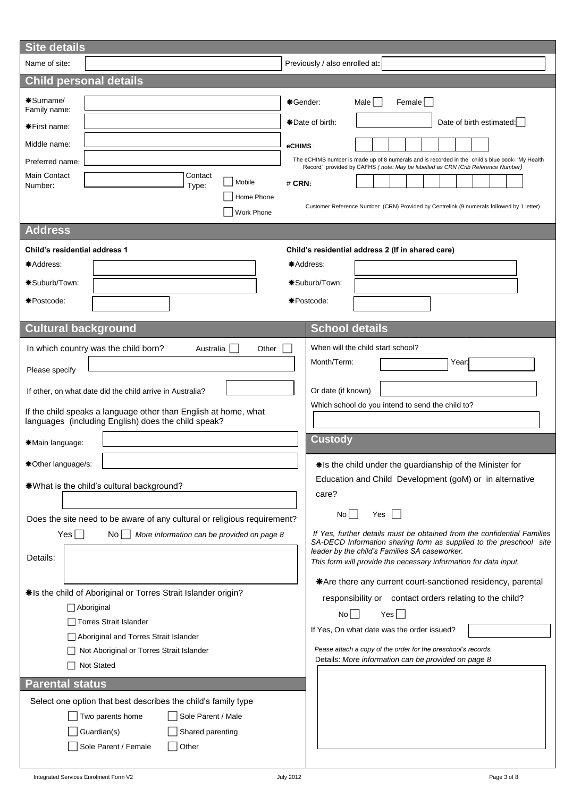| <b>Site details</b>                                                                                                                                                                                                                                                                                      |                                                                                                                                                                                                                                                                                                                                                                                                                                                                                              |
|----------------------------------------------------------------------------------------------------------------------------------------------------------------------------------------------------------------------------------------------------------------------------------------------------------|----------------------------------------------------------------------------------------------------------------------------------------------------------------------------------------------------------------------------------------------------------------------------------------------------------------------------------------------------------------------------------------------------------------------------------------------------------------------------------------------|
| Name of site:                                                                                                                                                                                                                                                                                            | Previously / also enrolled at:                                                                                                                                                                                                                                                                                                                                                                                                                                                               |
| <b>Child personal details</b>                                                                                                                                                                                                                                                                            |                                                                                                                                                                                                                                                                                                                                                                                                                                                                                              |
| *Surname/<br>Family name:<br><b>*First name:</b><br>Middle name:<br>Preferred name:<br>Main Contact<br>Contact<br>Mobile<br>Number:<br>Type:<br>Home Phone<br><b>Work Phone</b><br><b>Address</b><br>Child's residential address 1<br>*Address:<br>*Suburb/Town:                                         | Male    <br>*Gender:<br>Female  <br>*Date of birth:<br>Date of birth estimated:  <br>eCHIMS:<br>The eCHIMS number is made up of 8 numerals and is recorded in the child's blue book- 'My Health<br>Record' provided by CAFHS (note: May be labelled as CRN (Crib Reference Number)<br>$#$ CRN:<br>Customer Reference Number (CRN) Provided by Centrelink (9 numerals followed by 1 letter)<br>Child's residential address 2 (If in shared care)<br>*Address:<br>*Suburb/Town:                |
| *Postcode:                                                                                                                                                                                                                                                                                               | *Postcode:                                                                                                                                                                                                                                                                                                                                                                                                                                                                                   |
| <b>Cultural background</b>                                                                                                                                                                                                                                                                               | <b>School details</b>                                                                                                                                                                                                                                                                                                                                                                                                                                                                        |
| In which country was the child born?<br>Australia<br>Other<br>Please specify<br>If other, on what date did the child arrive in Australia?<br>If the child speaks a language other than English at home, what<br>languages (including English) does the child speak?                                      | When will the child start school?<br>Month/Term:<br>Year:<br>Or date (if known)<br>Which school do you intend to send the child to?<br><b>Custody</b>                                                                                                                                                                                                                                                                                                                                        |
| *Main language:                                                                                                                                                                                                                                                                                          |                                                                                                                                                                                                                                                                                                                                                                                                                                                                                              |
| *Other language/s:<br>*What is the child's cultural background?                                                                                                                                                                                                                                          | *Is the child under the guardianship of the Minister for<br>Education and Child Development (goM) or in alternative<br>care?                                                                                                                                                                                                                                                                                                                                                                 |
| Does the site need to be aware of any cultural or religious requirement?<br>Yes <br>No l<br>More information can be provided on page 8<br>Details:<br>*Is the child of Aboriginal or Torres Strait Islander origin?<br>$\Box$ Aboriginal<br>□ Torres Strait Islander                                     | $No$ $\Box$<br>Yes<br>If Yes, further details must be obtained from the confidential Families<br>SA-DECD Information sharing form as supplied to the preschool site<br>leader by the child's Families SA caseworker.<br>This form will provide the necessary information for data input.<br>*Are there any current court-sanctioned residency, parental<br>responsibility or contact orders relating to the child?<br>$No$    <br>$Yes$ $\Box$<br>If Yes, On what date was the order issued? |
| Aboriginal and Torres Strait Islander<br>Not Aboriginal or Torres Strait Islander<br>Not Stated<br><b>Parental status</b><br>Select one option that best describes the child's family type<br>Two parents home<br>Sole Parent / Male<br>Guardian(s)<br>Shared parenting<br>Sole Parent / Female<br>Other | Pease attach a copy of the order for the preschool's records.<br>Details: More information can be provided on page 8                                                                                                                                                                                                                                                                                                                                                                         |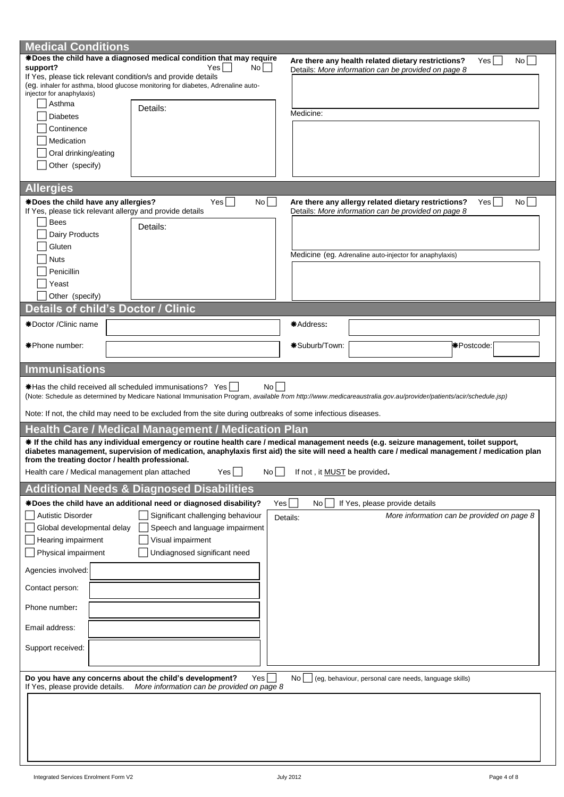| <b>Medical Conditions</b>                                    |                                                                                                             |                              |                                                                                                                                                                                                                                                                                           |    |
|--------------------------------------------------------------|-------------------------------------------------------------------------------------------------------------|------------------------------|-------------------------------------------------------------------------------------------------------------------------------------------------------------------------------------------------------------------------------------------------------------------------------------------|----|
|                                                              | *Does the child have a diagnosed medical condition that may require                                         |                              | Yes <br>Are there any health related dietary restrictions?                                                                                                                                                                                                                                | No |
| support?                                                     | Yes  <br>No                                                                                                 |                              | Details: More information can be provided on page 8                                                                                                                                                                                                                                       |    |
| If Yes, please tick relevant condition/s and provide details | (eg. inhaler for asthma, blood glucose monitoring for diabetes, Adrenaline auto-                            |                              |                                                                                                                                                                                                                                                                                           |    |
| injector for anaphylaxis)                                    |                                                                                                             |                              |                                                                                                                                                                                                                                                                                           |    |
| Asthma                                                       | Details:                                                                                                    |                              |                                                                                                                                                                                                                                                                                           |    |
| <b>Diabetes</b>                                              |                                                                                                             | Medicine:                    |                                                                                                                                                                                                                                                                                           |    |
| Continence                                                   |                                                                                                             |                              |                                                                                                                                                                                                                                                                                           |    |
| Medication                                                   |                                                                                                             |                              |                                                                                                                                                                                                                                                                                           |    |
|                                                              |                                                                                                             |                              |                                                                                                                                                                                                                                                                                           |    |
| Oral drinking/eating                                         |                                                                                                             |                              |                                                                                                                                                                                                                                                                                           |    |
| Other (specify)                                              |                                                                                                             |                              |                                                                                                                                                                                                                                                                                           |    |
|                                                              |                                                                                                             |                              |                                                                                                                                                                                                                                                                                           |    |
| <b>Allergies</b>                                             |                                                                                                             |                              |                                                                                                                                                                                                                                                                                           |    |
| *Does the child have any allergies?                          | $Yes$    <br>No                                                                                             |                              | Are there any allergy related dietary restrictions?<br>Yes                                                                                                                                                                                                                                | No |
| If Yes, please tick relevant allergy and provide details     |                                                                                                             |                              | Details: More information can be provided on page 8                                                                                                                                                                                                                                       |    |
| Bees                                                         | Details:                                                                                                    |                              |                                                                                                                                                                                                                                                                                           |    |
| Dairy Products                                               |                                                                                                             |                              |                                                                                                                                                                                                                                                                                           |    |
| Gluten                                                       |                                                                                                             |                              |                                                                                                                                                                                                                                                                                           |    |
| <b>Nuts</b>                                                  |                                                                                                             |                              | Medicine (eg. Adrenaline auto-injector for anaphylaxis)                                                                                                                                                                                                                                   |    |
| Penicillin                                                   |                                                                                                             |                              |                                                                                                                                                                                                                                                                                           |    |
| Yeast                                                        |                                                                                                             |                              |                                                                                                                                                                                                                                                                                           |    |
| Other (specify)                                              |                                                                                                             |                              |                                                                                                                                                                                                                                                                                           |    |
| <b>Details of child's Doctor / Clinic</b>                    |                                                                                                             |                              |                                                                                                                                                                                                                                                                                           |    |
|                                                              |                                                                                                             |                              |                                                                                                                                                                                                                                                                                           |    |
| *Doctor / Clinic name                                        |                                                                                                             | *Address:                    |                                                                                                                                                                                                                                                                                           |    |
|                                                              |                                                                                                             |                              |                                                                                                                                                                                                                                                                                           |    |
| *Phone number:                                               |                                                                                                             | *Suburb/Town:                | <b>*</b> Postcode:                                                                                                                                                                                                                                                                        |    |
|                                                              |                                                                                                             |                              |                                                                                                                                                                                                                                                                                           |    |
| <b>Immunisations</b>                                         |                                                                                                             |                              |                                                                                                                                                                                                                                                                                           |    |
|                                                              |                                                                                                             |                              |                                                                                                                                                                                                                                                                                           |    |
|                                                              |                                                                                                             |                              |                                                                                                                                                                                                                                                                                           |    |
| *Has the child received all scheduled immunisations? Yes     | No l                                                                                                        |                              |                                                                                                                                                                                                                                                                                           |    |
|                                                              |                                                                                                             |                              | (Note: Schedule as determined by Medicare National Immunisation Program, available from http://www.medicareaustralia.gov.au/provider/patients/acir/schedule.jsp)                                                                                                                          |    |
|                                                              | Note: If not, the child may need to be excluded from the site during outbreaks of some infectious diseases. |                              |                                                                                                                                                                                                                                                                                           |    |
|                                                              | <b>Health Care / Medical Management / Medication Plan</b>                                                   |                              |                                                                                                                                                                                                                                                                                           |    |
|                                                              |                                                                                                             |                              |                                                                                                                                                                                                                                                                                           |    |
|                                                              |                                                                                                             |                              | * If the child has any individual emergency or routine health care / medical management needs (e.g. seizure management, toilet support,<br>diabetes management, supervision of medication, anaphylaxis first aid) the site will need a health care / medical management / medication plan |    |
| from the treating doctor / health professional.              |                                                                                                             |                              |                                                                                                                                                                                                                                                                                           |    |
| Health care / Medical management plan attached               | Yes <br>No                                                                                                  | If not, it MUST be provided. |                                                                                                                                                                                                                                                                                           |    |
|                                                              |                                                                                                             |                              |                                                                                                                                                                                                                                                                                           |    |
|                                                              | <b>Additional Needs &amp; Diagnosed Disabilities</b>                                                        |                              |                                                                                                                                                                                                                                                                                           |    |
|                                                              | *Does the child have an additional need or diagnosed disability?<br>Yes                                     | No                           | If Yes, please provide details                                                                                                                                                                                                                                                            |    |
| <b>Autistic Disorder</b>                                     | Significant challenging behaviour                                                                           | Details:                     | More information can be provided on page 8                                                                                                                                                                                                                                                |    |
| Global developmental delay                                   | Speech and language impairment                                                                              |                              |                                                                                                                                                                                                                                                                                           |    |
| Hearing impairment                                           | Visual impairment                                                                                           |                              |                                                                                                                                                                                                                                                                                           |    |
| Physical impairment                                          | Undiagnosed significant need                                                                                |                              |                                                                                                                                                                                                                                                                                           |    |
|                                                              |                                                                                                             |                              |                                                                                                                                                                                                                                                                                           |    |
| Agencies involved:                                           |                                                                                                             |                              |                                                                                                                                                                                                                                                                                           |    |
| Contact person:                                              |                                                                                                             |                              |                                                                                                                                                                                                                                                                                           |    |
| Phone number:                                                |                                                                                                             |                              |                                                                                                                                                                                                                                                                                           |    |
| Email address:                                               |                                                                                                             |                              |                                                                                                                                                                                                                                                                                           |    |
|                                                              |                                                                                                             |                              |                                                                                                                                                                                                                                                                                           |    |
| Support received:                                            |                                                                                                             |                              |                                                                                                                                                                                                                                                                                           |    |
|                                                              |                                                                                                             |                              |                                                                                                                                                                                                                                                                                           |    |
|                                                              | Do you have any concerns about the child's development?<br>Yes                                              | No                           | (eg, behaviour, personal care needs, language skills)                                                                                                                                                                                                                                     |    |
| If Yes, please provide details.                              | More information can be provided on page 8                                                                  |                              |                                                                                                                                                                                                                                                                                           |    |
|                                                              |                                                                                                             |                              |                                                                                                                                                                                                                                                                                           |    |
|                                                              |                                                                                                             |                              |                                                                                                                                                                                                                                                                                           |    |
|                                                              |                                                                                                             |                              |                                                                                                                                                                                                                                                                                           |    |
|                                                              |                                                                                                             |                              |                                                                                                                                                                                                                                                                                           |    |
|                                                              |                                                                                                             |                              |                                                                                                                                                                                                                                                                                           |    |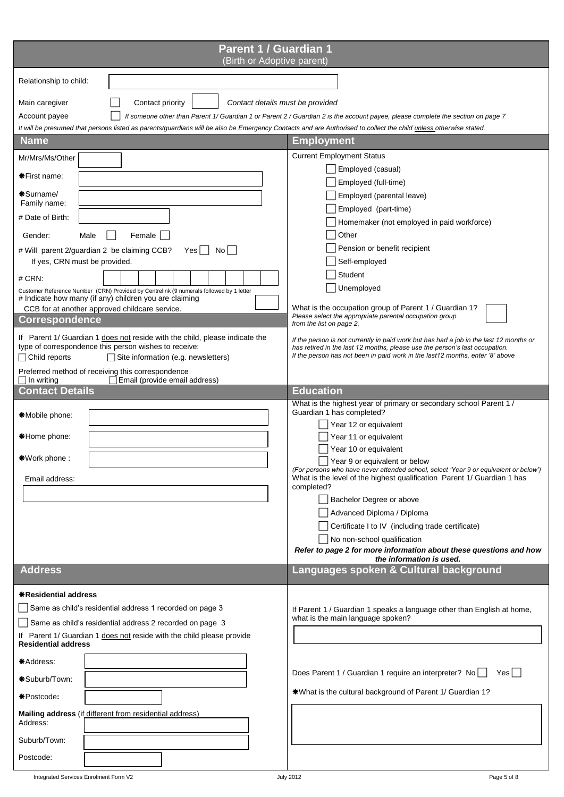| Parent 1 / Guardian 1<br>(Birth or Adoptive parent)                                                                                                                                                                                                                                                                                                                                                                                                                                                                                                                                                                                                                                 |                                                                                                                                                                                                                                                                                                                                                                                                                                                                                                                                                                                                                                                                                |
|-------------------------------------------------------------------------------------------------------------------------------------------------------------------------------------------------------------------------------------------------------------------------------------------------------------------------------------------------------------------------------------------------------------------------------------------------------------------------------------------------------------------------------------------------------------------------------------------------------------------------------------------------------------------------------------|--------------------------------------------------------------------------------------------------------------------------------------------------------------------------------------------------------------------------------------------------------------------------------------------------------------------------------------------------------------------------------------------------------------------------------------------------------------------------------------------------------------------------------------------------------------------------------------------------------------------------------------------------------------------------------|
| Relationship to child:                                                                                                                                                                                                                                                                                                                                                                                                                                                                                                                                                                                                                                                              |                                                                                                                                                                                                                                                                                                                                                                                                                                                                                                                                                                                                                                                                                |
| Contact priority<br>Main caregiver<br>Contact details must be provided<br>Account payee<br>It will be presumed that persons listed as parents/guardians will be also be Emergency Contacts and are Authorised to collect the child unless otherwise stated.                                                                                                                                                                                                                                                                                                                                                                                                                         | If someone other than Parent 1/ Guardian 1 or Parent 2 / Guardian 2 is the account payee, please complete the section on page 7                                                                                                                                                                                                                                                                                                                                                                                                                                                                                                                                                |
| <b>Name</b>                                                                                                                                                                                                                                                                                                                                                                                                                                                                                                                                                                                                                                                                         | <b>Employment</b>                                                                                                                                                                                                                                                                                                                                                                                                                                                                                                                                                                                                                                                              |
| Mr/Mrs/Ms/Other<br><b>*First name:</b><br>*Surname/<br>Family name:<br># Date of Birth:<br>Gender:<br>Female<br>Male<br># Will parent 2/guardian 2 be claiming CCB?<br>$No$    <br>Yes  <br>If yes, CRN must be provided.<br>$#$ CRN:<br>Customer Reference Number (CRN) Provided by Centrelink (9 numerals followed by 1 letter<br># Indicate how many (if any) children you are claiming<br>CCB for at another approved childcare service.<br><b>Correspondence</b><br>If Parent 1/ Guardian 1 does not reside with the child, please indicate the<br>type of correspondence this person wishes to receive:<br>$\Box$ Child reports<br>$\Box$ Site information (e.g. newsletters) | <b>Current Employment Status</b><br>Employed (casual)<br>Employed (full-time)<br>Employed (parental leave)<br>Employed (part-time)<br>Homemaker (not employed in paid workforce)<br>Other<br>Pension or benefit recipient<br>Self-employed<br>Student<br>Unemployed<br>What is the occupation group of Parent 1 / Guardian 1?<br>Please select the appropriate parental occupation group<br>from the list on page 2.<br>If the person is not currently in paid work but has had a job in the last 12 months or<br>has retired in the last 12 months, please use the person's last occupation.<br>If the person has not been in paid work in the last12 months, enter '8' above |
| Preferred method of receiving this correspondence<br>$\sqcap$ In writing<br>Email (provide email address)                                                                                                                                                                                                                                                                                                                                                                                                                                                                                                                                                                           |                                                                                                                                                                                                                                                                                                                                                                                                                                                                                                                                                                                                                                                                                |
| <b>Contact Details</b>                                                                                                                                                                                                                                                                                                                                                                                                                                                                                                                                                                                                                                                              | <b>Education</b>                                                                                                                                                                                                                                                                                                                                                                                                                                                                                                                                                                                                                                                               |
| *Mobile phone:<br><b>*Home phone:</b><br><b>*Work phone:</b><br>Email address:                                                                                                                                                                                                                                                                                                                                                                                                                                                                                                                                                                                                      | What is the highest year of primary or secondary school Parent 1 /<br>Guardian 1 has completed?<br>Year 12 or equivalent<br>Year 11 or equivalent<br>Year 10 or equivalent<br>Year 9 or equivalent or below<br>(For persons who have never attended school, select 'Year 9 or equivalent or below')<br>What is the level of the highest qualification Parent 1/ Guardian 1 has<br>completed?<br>Bachelor Degree or above<br>Advanced Diploma / Diploma<br>Certificate I to IV (including trade certificate)<br>No non-school qualification<br>Refer to page 2 for more information about these questions and how<br>the information is used.                                   |
| <b>Address</b>                                                                                                                                                                                                                                                                                                                                                                                                                                                                                                                                                                                                                                                                      | Languages spoken & Cultural background                                                                                                                                                                                                                                                                                                                                                                                                                                                                                                                                                                                                                                         |
| <b>*Residential address</b><br>Same as child's residential address 1 recorded on page 3<br>Same as child's residential address 2 recorded on page 3<br>If Parent 1/ Guardian 1 does not reside with the child please provide<br><b>Residential address</b><br>*Address:<br>*Suburb/Town:<br>*Postcode:<br>Mailing address (if different from residential address)                                                                                                                                                                                                                                                                                                                   | If Parent 1 / Guardian 1 speaks a language other than English at home,<br>what is the main language spoken?<br>Does Parent 1 / Guardian 1 require an interpreter? No<br>Yes    <br>*What is the cultural background of Parent 1/ Guardian 1?                                                                                                                                                                                                                                                                                                                                                                                                                                   |
| Address:                                                                                                                                                                                                                                                                                                                                                                                                                                                                                                                                                                                                                                                                            |                                                                                                                                                                                                                                                                                                                                                                                                                                                                                                                                                                                                                                                                                |
| Suburb/Town:                                                                                                                                                                                                                                                                                                                                                                                                                                                                                                                                                                                                                                                                        |                                                                                                                                                                                                                                                                                                                                                                                                                                                                                                                                                                                                                                                                                |
| Postcode:                                                                                                                                                                                                                                                                                                                                                                                                                                                                                                                                                                                                                                                                           |                                                                                                                                                                                                                                                                                                                                                                                                                                                                                                                                                                                                                                                                                |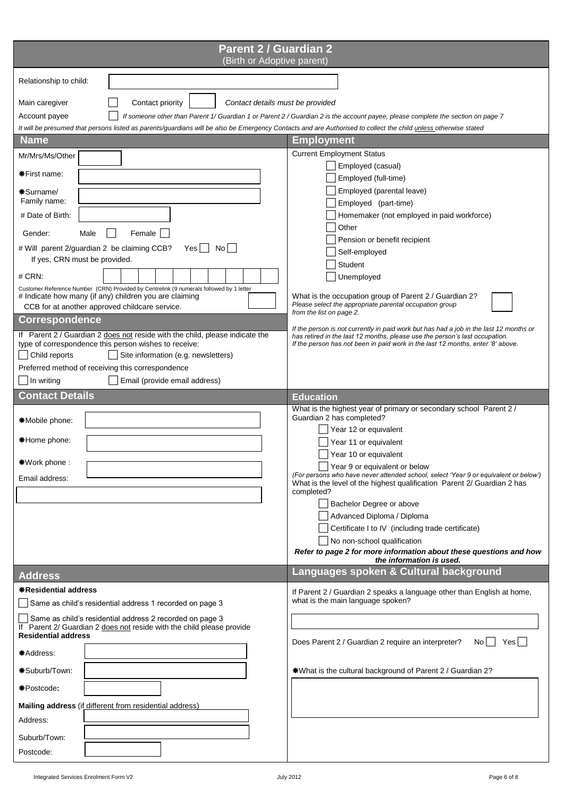| <b>Parent 2 / Guardian 2</b><br>(Birth or Adoptive parent)                                                                                                                     |                                                                                                                                                                       |
|--------------------------------------------------------------------------------------------------------------------------------------------------------------------------------|-----------------------------------------------------------------------------------------------------------------------------------------------------------------------|
| Relationship to child:                                                                                                                                                         |                                                                                                                                                                       |
|                                                                                                                                                                                |                                                                                                                                                                       |
| Main caregiver<br>Contact priority<br>Contact details must be provided                                                                                                         |                                                                                                                                                                       |
| Account payee                                                                                                                                                                  | If someone other than Parent 1/ Guardian 1 or Parent 2 / Guardian 2 is the account payee, please complete the section on page 7                                       |
| It will be presumed that persons listed as parents/guardians will be also be Emergency Contacts and are Authorised to collect the child unless otherwise stated<br><b>Name</b> | Employment                                                                                                                                                            |
| Mr/Mrs/Ms/Other                                                                                                                                                                | <b>Current Employment Status</b>                                                                                                                                      |
|                                                                                                                                                                                | Employed (casual)                                                                                                                                                     |
| <b>*First name:</b>                                                                                                                                                            | Employed (full-time)                                                                                                                                                  |
| *Surname/                                                                                                                                                                      | Employed (parental leave)                                                                                                                                             |
| Family name:                                                                                                                                                                   | Employed (part-time)                                                                                                                                                  |
| # Date of Birth:                                                                                                                                                               | Homemaker (not employed in paid workforce)<br>Other                                                                                                                   |
| Gender:<br>Female<br>Male                                                                                                                                                      | Pension or benefit recipient                                                                                                                                          |
| # Will parent 2/guardian 2 be claiming CCB?<br>Yes    <br>Nol I                                                                                                                | Self-employed                                                                                                                                                         |
| If yes, CRN must be provided.                                                                                                                                                  | Student                                                                                                                                                               |
| $#$ CRN:                                                                                                                                                                       | Unemployed                                                                                                                                                            |
| Customer Reference Number (CRN) Provided by Centrelink (9 numerals followed by 1 letter<br># Indicate how many (if any) children you are claiming                              | What is the occupation group of Parent 2 / Guardian 2?                                                                                                                |
| CCB for at another approved childcare service.                                                                                                                                 | Please select the appropriate parental occupation group<br>from the list on page 2.                                                                                   |
| <b>Correspondence</b>                                                                                                                                                          |                                                                                                                                                                       |
| If Parent 2 / Guardian 2 does not reside with the child, please indicate the                                                                                                   | If the person is not currently in paid work but has had a job in the last 12 months or<br>has retired in the last 12 months, please use the person's last occupation. |
| type of correspondence this person wishes to receive:<br>Child reports<br>Site information (e.g. newsletters)                                                                  | If the person has not been in paid work in the last 12 months, enter '8' above.                                                                                       |
| Preferred method of receiving this correspondence                                                                                                                              |                                                                                                                                                                       |
| In writing<br>Email (provide email address)                                                                                                                                    |                                                                                                                                                                       |
| <b>Contact Details</b>                                                                                                                                                         | <b>Education</b>                                                                                                                                                      |
|                                                                                                                                                                                | What is the highest year of primary or secondary school Parent 2 /                                                                                                    |
| *Mobile phone:                                                                                                                                                                 | Guardian 2 has completed?                                                                                                                                             |
| *Home phone:                                                                                                                                                                   | Year 12 or equivalent                                                                                                                                                 |
|                                                                                                                                                                                | Year 11 or equivalent<br>Year 10 or equivalent                                                                                                                        |
| *Work phone:                                                                                                                                                                   | Year 9 or equivalent or below                                                                                                                                         |
| Email address:                                                                                                                                                                 | (For persons who have never attended school, select 'Year 9 or equivalent or below')<br>What is the level of the highest qualification Parent 2/ Guardian 2 has       |
|                                                                                                                                                                                | completed?                                                                                                                                                            |
|                                                                                                                                                                                | Bachelor Degree or above                                                                                                                                              |
|                                                                                                                                                                                | Advanced Diploma / Diploma                                                                                                                                            |
|                                                                                                                                                                                | Certificate I to IV (including trade certificate)                                                                                                                     |
|                                                                                                                                                                                | No non-school qualification<br>Refer to page 2 for more information about these questions and how                                                                     |
|                                                                                                                                                                                | the information is used.                                                                                                                                              |
| <b>Address</b>                                                                                                                                                                 | Languages spoken & Cultural background                                                                                                                                |
| <b>*Residential address</b>                                                                                                                                                    | If Parent 2 / Guardian 2 speaks a language other than English at home,                                                                                                |
| Same as child's residential address 1 recorded on page 3                                                                                                                       | what is the main language spoken?                                                                                                                                     |
| Same as child's residential address 2 recorded on page 3<br>If Parent 2/ Guardian 2 does not reside with the child please provide                                              |                                                                                                                                                                       |
| <b>Residential address</b><br>*Address:                                                                                                                                        | Does Parent 2 / Guardian 2 require an interpreter?<br>Yesl<br>No l                                                                                                    |
| *Suburb/Town:                                                                                                                                                                  | *What is the cultural background of Parent 2 / Guardian 2?                                                                                                            |
|                                                                                                                                                                                |                                                                                                                                                                       |
| *Postcode:                                                                                                                                                                     |                                                                                                                                                                       |
| Mailing address (if different from residential address)                                                                                                                        |                                                                                                                                                                       |
| Address:                                                                                                                                                                       |                                                                                                                                                                       |
| Suburb/Town:                                                                                                                                                                   |                                                                                                                                                                       |
| Postcode:                                                                                                                                                                      |                                                                                                                                                                       |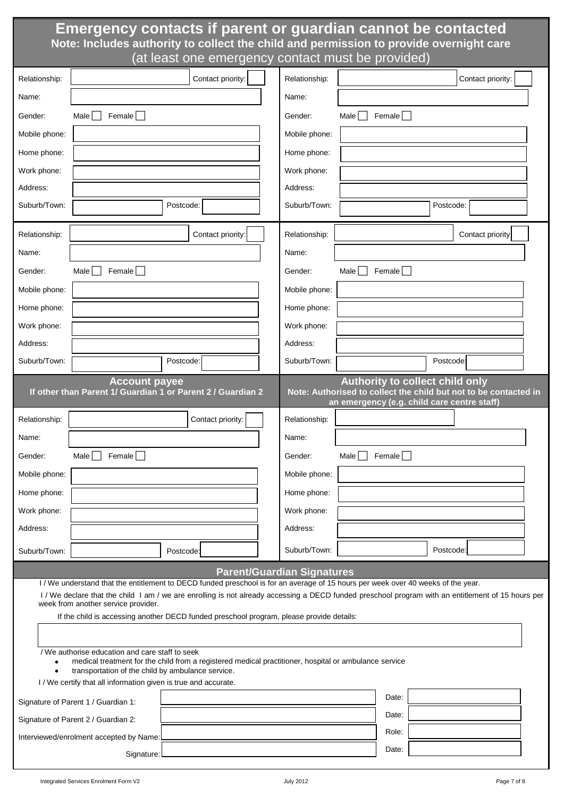# **Emergency contacts if parent or guardian cannot be contacted Note: Includes authority to collect the child and permission to provide overnight care**  (at least one emergency contact must be provided)

| Relationship: |                                                                                                                      | Contact priority:                                                                                                                                                    | Relationship: |                                                                                       |           | Contact priority:                                                |
|---------------|----------------------------------------------------------------------------------------------------------------------|----------------------------------------------------------------------------------------------------------------------------------------------------------------------|---------------|---------------------------------------------------------------------------------------|-----------|------------------------------------------------------------------|
| Name:         |                                                                                                                      |                                                                                                                                                                      | Name:         |                                                                                       |           |                                                                  |
| Gender:       | Female $\Box$<br>Male                                                                                                |                                                                                                                                                                      | Gender:       | Male<br>Female                                                                        |           |                                                                  |
| Mobile phone: |                                                                                                                      |                                                                                                                                                                      | Mobile phone: |                                                                                       |           |                                                                  |
| Home phone:   |                                                                                                                      |                                                                                                                                                                      | Home phone:   |                                                                                       |           |                                                                  |
| Work phone:   |                                                                                                                      |                                                                                                                                                                      | Work phone:   |                                                                                       |           |                                                                  |
| Address:      |                                                                                                                      |                                                                                                                                                                      | Address:      |                                                                                       |           |                                                                  |
| Suburb/Town:  |                                                                                                                      | Postcode:                                                                                                                                                            | Suburb/Town:  |                                                                                       | Postcode: |                                                                  |
| Relationship: |                                                                                                                      | Contact priority:                                                                                                                                                    | Relationship: |                                                                                       |           | Contact priority:                                                |
| Name:         |                                                                                                                      |                                                                                                                                                                      | Name:         |                                                                                       |           |                                                                  |
| Gender:       | Male    <br>Female $\Box$                                                                                            |                                                                                                                                                                      | Gender:       | Female $\Box$<br>Male                                                                 |           |                                                                  |
| Mobile phone: |                                                                                                                      |                                                                                                                                                                      | Mobile phone: |                                                                                       |           |                                                                  |
| Home phone:   |                                                                                                                      |                                                                                                                                                                      | Home phone:   |                                                                                       |           |                                                                  |
| Work phone:   |                                                                                                                      |                                                                                                                                                                      | Work phone:   |                                                                                       |           |                                                                  |
| Address:      |                                                                                                                      |                                                                                                                                                                      | Address:      |                                                                                       |           |                                                                  |
| Suburb/Town:  |                                                                                                                      | Postcode:                                                                                                                                                            | Suburb/Town:  |                                                                                       | Postcode: |                                                                  |
|               | <b>Account payee</b>                                                                                                 | If other than Parent 1/ Guardian 1 or Parent 2 / Guardian 2                                                                                                          |               | <b>Authority to collect child only</b><br>an emergency (e.g. child care centre staff) |           | Note: Authorised to collect the child but not to be contacted in |
| Relationship: |                                                                                                                      | Contact priority:                                                                                                                                                    | Relationship: |                                                                                       |           |                                                                  |
| Name:         |                                                                                                                      |                                                                                                                                                                      | Name:         |                                                                                       |           |                                                                  |
| Gender:       | Male<br>Female                                                                                                       |                                                                                                                                                                      | Gender:       | Male $ $<br>Female                                                                    |           |                                                                  |
| Mobile phone: |                                                                                                                      |                                                                                                                                                                      | Mobile phone: |                                                                                       |           |                                                                  |
| Home phone:   |                                                                                                                      |                                                                                                                                                                      | Home phone:   |                                                                                       |           |                                                                  |
| Work phone:   |                                                                                                                      |                                                                                                                                                                      | Work phone:   |                                                                                       |           |                                                                  |
| Address:      |                                                                                                                      |                                                                                                                                                                      | Address:      |                                                                                       |           |                                                                  |
| Suburb/Town:  |                                                                                                                      | Postcode:                                                                                                                                                            | Suburb/Town:  |                                                                                       | Postcode: |                                                                  |
|               |                                                                                                                      | <b>Parent/Guardian Signatures</b><br>I/We understand that the entitlement to DECD funded preschool is for an average of 15 hours per week over 40 weeks of the year. |               |                                                                                       |           |                                                                  |
|               |                                                                                                                      | I / We declare that the child I am / we are enrolling is not already accessing a DECD funded preschool program with an entitlement of 15 hours per                   |               |                                                                                       |           |                                                                  |
|               | week from another service provider.                                                                                  | If the child is accessing another DECD funded preschool program, please provide details:                                                                             |               |                                                                                       |           |                                                                  |
|               |                                                                                                                      |                                                                                                                                                                      |               |                                                                                       |           |                                                                  |
|               | / We authorise education and care staff to seek                                                                      | medical treatment for the child from a registered medical practitioner, hospital or ambulance service                                                                |               |                                                                                       |           |                                                                  |
|               | transportation of the child by ambulance service.<br>I / We certify that all information given is true and accurate. |                                                                                                                                                                      |               |                                                                                       |           |                                                                  |
|               | Signature of Parent 1 / Guardian 1:                                                                                  |                                                                                                                                                                      |               | Date:                                                                                 |           |                                                                  |
|               | Signature of Parent 2 / Guardian 2:                                                                                  |                                                                                                                                                                      |               | Date:                                                                                 |           |                                                                  |
|               | Interviewed/enrolment accepted by Name:                                                                              |                                                                                                                                                                      |               | Role:                                                                                 |           |                                                                  |
|               | Signature:                                                                                                           |                                                                                                                                                                      |               | Date:                                                                                 |           |                                                                  |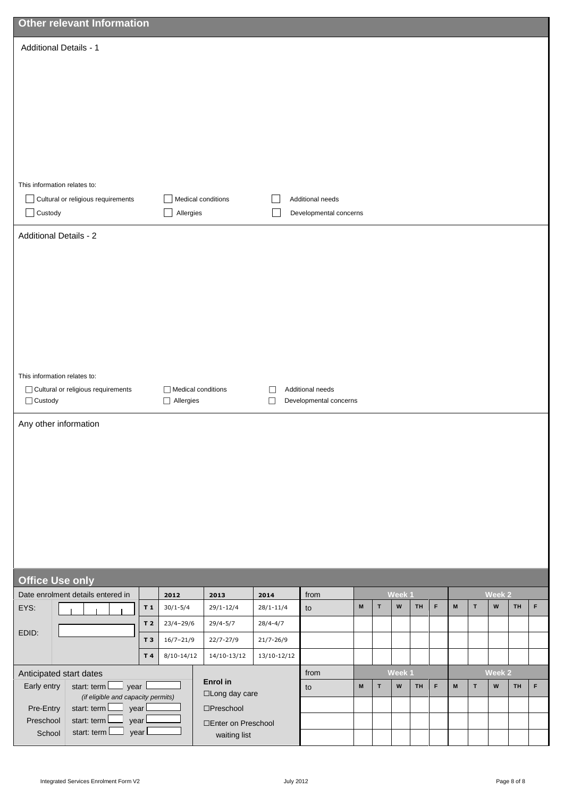|                        | <b>Other relevant Information</b>                                  |                |                    |                                            |               |                        |   |             |                     |           |   |                     |              |                                     |           |   |
|------------------------|--------------------------------------------------------------------|----------------|--------------------|--------------------------------------------|---------------|------------------------|---|-------------|---------------------|-----------|---|---------------------|--------------|-------------------------------------|-----------|---|
|                        | <b>Additional Details - 1</b>                                      |                |                    |                                            |               |                        |   |             |                     |           |   |                     |              |                                     |           |   |
|                        |                                                                    |                |                    |                                            |               |                        |   |             |                     |           |   |                     |              |                                     |           |   |
|                        |                                                                    |                |                    |                                            |               |                        |   |             |                     |           |   |                     |              |                                     |           |   |
|                        |                                                                    |                |                    |                                            |               |                        |   |             |                     |           |   |                     |              |                                     |           |   |
|                        |                                                                    |                |                    |                                            |               |                        |   |             |                     |           |   |                     |              |                                     |           |   |
|                        |                                                                    |                |                    |                                            |               |                        |   |             |                     |           |   |                     |              |                                     |           |   |
|                        |                                                                    |                |                    |                                            |               |                        |   |             |                     |           |   |                     |              |                                     |           |   |
|                        | This information relates to:                                       |                |                    |                                            |               |                        |   |             |                     |           |   |                     |              |                                     |           |   |
|                        | Cultural or religious requirements                                 |                |                    | Medical conditions                         |               | Additional needs       |   |             |                     |           |   |                     |              |                                     |           |   |
| $\Box$ Custody         |                                                                    |                | Allergies          |                                            |               | Developmental concerns |   |             |                     |           |   |                     |              |                                     |           |   |
|                        | <b>Additional Details - 2</b>                                      |                |                    |                                            |               |                        |   |             |                     |           |   |                     |              |                                     |           |   |
|                        |                                                                    |                |                    |                                            |               |                        |   |             |                     |           |   |                     |              |                                     |           |   |
|                        |                                                                    |                |                    |                                            |               |                        |   |             |                     |           |   |                     |              |                                     |           |   |
|                        |                                                                    |                |                    |                                            |               |                        |   |             |                     |           |   |                     |              |                                     |           |   |
|                        |                                                                    |                |                    |                                            |               |                        |   |             |                     |           |   |                     |              |                                     |           |   |
|                        |                                                                    |                |                    |                                            |               |                        |   |             |                     |           |   |                     |              |                                     |           |   |
|                        |                                                                    |                |                    |                                            |               |                        |   |             |                     |           |   |                     |              |                                     |           |   |
|                        |                                                                    |                |                    |                                            |               |                        |   |             |                     |           |   |                     |              |                                     |           |   |
|                        | This information relates to:<br>Cultural or religious requirements |                | Medical conditions |                                            | L             | Additional needs       |   |             |                     |           |   |                     |              |                                     |           |   |
| $\Box$ Custody         |                                                                    |                | $\Box$ Allergies   |                                            | $\Box$        | Developmental concerns |   |             |                     |           |   |                     |              |                                     |           |   |
|                        | Any other information                                              |                |                    |                                            |               |                        |   |             |                     |           |   |                     |              |                                     |           |   |
|                        |                                                                    |                |                    |                                            |               |                        |   |             |                     |           |   |                     |              |                                     |           |   |
|                        |                                                                    |                |                    |                                            |               |                        |   |             |                     |           |   |                     |              |                                     |           |   |
|                        |                                                                    |                |                    |                                            |               |                        |   |             |                     |           |   |                     |              |                                     |           |   |
|                        |                                                                    |                |                    |                                            |               |                        |   |             |                     |           |   |                     |              |                                     |           |   |
|                        |                                                                    |                |                    |                                            |               |                        |   |             |                     |           |   |                     |              |                                     |           |   |
|                        |                                                                    |                |                    |                                            |               |                        |   |             |                     |           |   |                     |              |                                     |           |   |
|                        |                                                                    |                |                    |                                            |               |                        |   |             |                     |           |   |                     |              |                                     |           |   |
|                        |                                                                    |                |                    |                                            |               |                        |   |             |                     |           |   |                     |              |                                     |           |   |
|                        | <b>Office Use only</b><br>Date enrolment details entered in        |                | 2012               | 2013                                       | 2014          | from                   |   |             | Week 1              |           |   |                     |              | Week 2                              |           |   |
| EYS:                   |                                                                    | T1             | $30/1 - 5/4$       | $29/1 - 12/4$                              | $28/1 - 11/4$ | to                     | M | $\mathbf T$ | ${\bf W}$           | <b>TH</b> | F | $\mathsf{M}$        | $\mathbf T$  | $\boldsymbol{\mathsf{W}}$           | <b>TH</b> | F |
| EDID:                  |                                                                    | T <sub>2</sub> | $23/4 - 29/6$      | $29/4 - 5/7$                               | $28/4 - 4/7$  |                        |   |             |                     |           |   |                     |              |                                     |           |   |
|                        |                                                                    | T 3            | $16/7 - 21/9$      | 22/7-27/9                                  | $21/7 - 26/9$ |                        |   |             |                     |           |   |                     |              |                                     |           |   |
|                        |                                                                    | T 4            | $8/10-14/12$       | 14/10-13/12                                | 13/10-12/12   |                        |   |             |                     |           |   |                     |              |                                     |           |   |
| Early entry            | Anticipated start dates<br>year L<br>start: term                   |                |                    | Enrol in                                   |               | from<br>to             | M | $\mathbf T$ | Week 1<br>${\bf W}$ | <b>TH</b> | F | $\mathsf{M}\xspace$ | $\mathbf{T}$ | Week 2<br>$\boldsymbol{\mathsf{W}}$ | <b>TH</b> | F |
|                        | (if eligible and capacity permits)                                 |                |                    | □Long day care                             |               |                        |   |             |                     |           |   |                     |              |                                     |           |   |
| Pre-Entry<br>Preschool | start: term<br>year L<br>start: term<br>year l                     |                |                    | $\square$ Preschool<br>□Enter on Preschool |               |                        |   |             |                     |           |   |                     |              |                                     |           |   |
| School                 | start: term l                                                      | year l         |                    | waiting list                               |               |                        |   |             |                     |           |   |                     |              |                                     |           |   |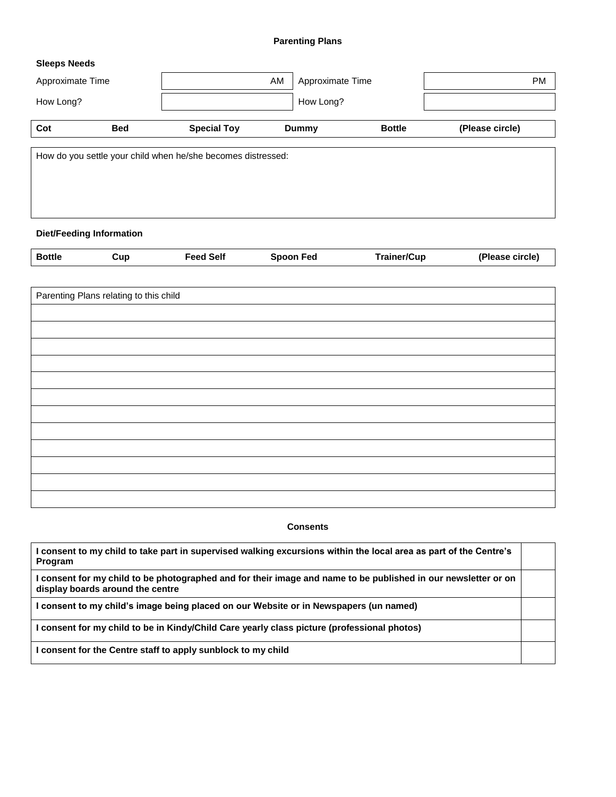### **Parenting Plans**

### **Sleeps Needs**

| AM<br>Approximate Time |            | Approximate Time                                             |  |              |               |                 |  |
|------------------------|------------|--------------------------------------------------------------|--|--------------|---------------|-----------------|--|
| How Long?              |            |                                                              |  | How Long?    |               |                 |  |
| Cot                    | <b>Bed</b> | <b>Special Toy</b>                                           |  | <b>Dummy</b> | <b>Bottle</b> | (Please circle) |  |
|                        |            | How do you settle your child when he/she becomes distressed: |  |              |               |                 |  |
|                        |            |                                                              |  |              |               |                 |  |
|                        |            |                                                              |  |              |               |                 |  |

# **Diet/Feeding Information**

| <b>Bottle</b> | Cup | <b>Feed Self</b> | Fed<br>Snoon | <b>⊺rainer/Cup</b> | (Please circle) |
|---------------|-----|------------------|--------------|--------------------|-----------------|
|               |     |                  |              |                    |                 |

| Parenting Plans relating to this child |
|----------------------------------------|
|                                        |
|                                        |
|                                        |
|                                        |
|                                        |
|                                        |
|                                        |
|                                        |
|                                        |
|                                        |
|                                        |
|                                        |

### **Consents**

| consent to my child to take part in supervised walking excursions within the local area as part of the Centre's<br><b>Program</b>                  |  |
|----------------------------------------------------------------------------------------------------------------------------------------------------|--|
| I consent for my child to be photographed and for their image and name to be published in our newsletter or on<br>display boards around the centre |  |
| I consent to my child's image being placed on our Website or in Newspapers (un named)                                                              |  |
| l consent for my child to be in Kindy/Child Care yearly class picture (professional photos)                                                        |  |
| I consent for the Centre staff to apply sunblock to my child                                                                                       |  |